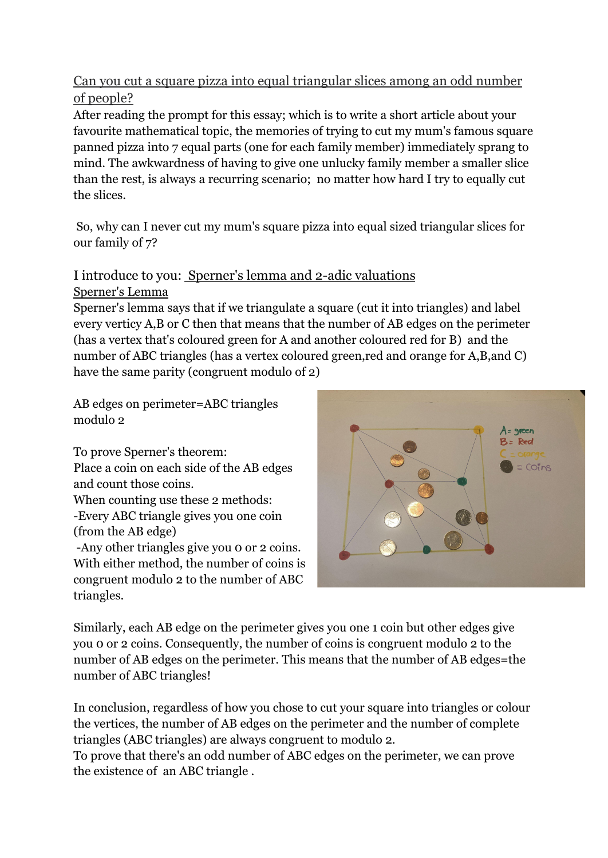## Can you cut a square pizza into equal triangular slices among an odd number of people?

After reading the prompt for this essay; which is to write a short article about your favourite mathematical topic, the memories of trying to cut my mum's famous square panned pizza into 7 equal parts (one for each family member) immediately sprang to mind. The awkwardness of having to give one unlucky family member a smaller slice than the rest, is always a recurring scenario; no matter how hard I try to equally cut the slices.

So, why can I never cut my mum's square pizza into equal sized triangular slices for our family of 7?

## I introduce to you: Sperner's lemma and 2-adic valuations

Sperner's Lemma

Sperner's lemma says that if we triangulate a square (cut it into triangles) and label every verticy A,B or C then that means that the number of AB edges on the perimeter (has a vertex that's coloured green for A and another coloured red for B) and the number of ABC triangles (has a vertex coloured green,red and orange for A,B,and C) have the same parity (congruent modulo of 2)

AB edges on perimeter=ABC triangles modulo 2

To prove Sperner's theorem: Place a coin on each side of the AB edges and count those coins. When counting use these 2 methods: -Every ABC triangle gives you one coin (from the AB edge) -Any other triangles give you 0 or 2 coins. With either method, the number of coins is congruent modulo 2 to the number of ABC triangles.



Similarly, each AB edge on the perimeter gives you one 1 coin but other edges give you 0 or 2 coins. Consequently, the number of coins is congruent modulo 2 to the number of AB edges on the perimeter. This means that the number of AB edges=the number of ABC triangles!

In conclusion, regardless of how you chose to cut your square into triangles or colour the vertices, the number of AB edges on the perimeter and the number of complete triangles (ABC triangles) are always congruent to modulo 2.

To prove that there's an odd number of ABC edges on the perimeter, we can prove the existence of an ABC triangle .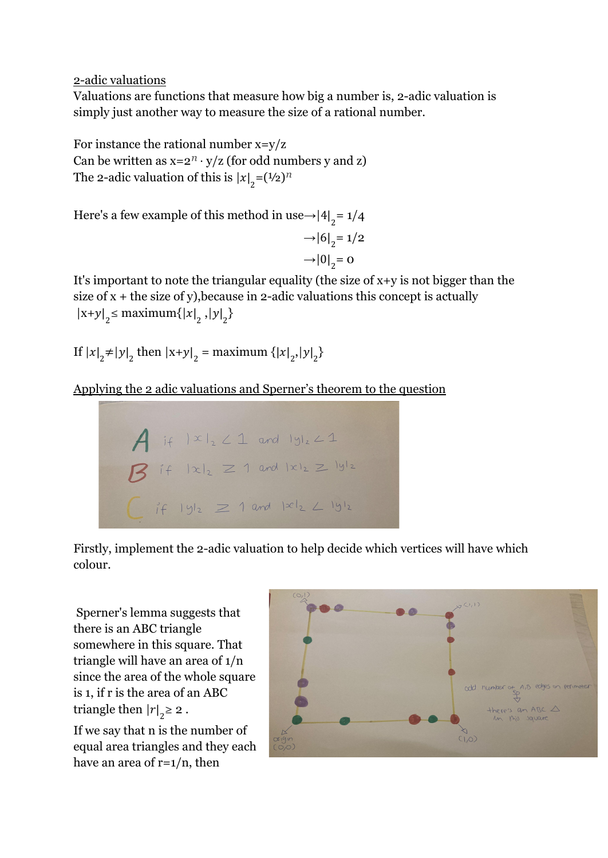2-adic valuations

Valuations are functions that measure how big a number is, 2-adic valuation is simply just another way to measure the size of a rational number.

For instance the rational number  $x=y/z$ Can be written as  $x=2^n \cdot y/z$  (for odd numbers y and z) The 2-adic valuation of this is  $|x|_2 = (1/2)^n$ 

Here's a few example of this method in use $\rightarrow$ |4|<sub>2</sub>=1/4

$$
\rightarrow |6|_{2} = 1/2
$$
  

$$
\rightarrow |0|_{2} = 0
$$

It's important to note the triangular equality (the size of  $x+y$  is not bigger than the size of  $x +$  the size of y), because in 2-adic valuations this concept is actually  $|x+y|_2 \leq \text{maximum} \{|x|_2, |y|_2\}$ 

If  $|x|_2 \ne |y|_2$  then  $|x+y|_2 = \text{maximum } \{|x|_2, |y|_2\}$ 

Applying the 2 adic valuations and Sperner's theorem to the question

$$
A \text{ if } |x|_{2} \leq 1 \text{ and } |y|_{2} \leq 1
$$
\n
$$
B \text{ if } |x|_{2} \geq 1 \text{ and } |x|_{2} \geq |y|_{2}
$$
\n
$$
C \text{ if } |y|_{2} \geq 1 \text{ and } |x|_{2} \leq |y|_{2}
$$

Firstly, implement the 2-adic valuation to help decide which vertices will have which colour.

Sperner's lemma suggests that there is an ABC triangle somewhere in this square. That triangle will have an area of 1/n since the area of the whole square is 1, if r is the area of an ABC triangle then  $|r|_{2} \geq 2$ .

If we say that n is the number of equal area triangles and they each have an area of  $r=1/n$ , then